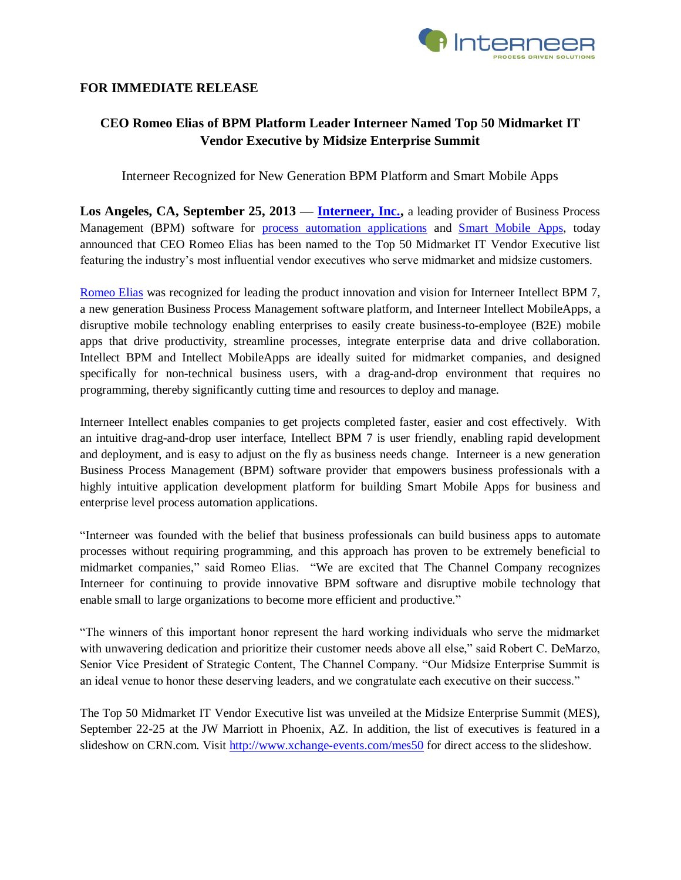

## **FOR IMMEDIATE RELEASE**

# **CEO Romeo Elias of BPM Platform Leader Interneer Named Top 50 Midmarket IT Vendor Executive by Midsize Enterprise Summit**

Interneer Recognized for New Generation BPM Platform and Smart Mobile Apps

Los Angeles, CA, September 25, 2013 — **Interneer, Inc.**, a leading provider of Business Process Management (BPM) software for [process automation applications](http://www.interneer.com/hosted-workflow-products-services/intellect-cloud/) and [Smart Mobile Apps,](http://www.interneer.com/intellect-mobileapps/) today announced that CEO Romeo Elias has been named to the Top 50 Midmarket IT Vendor Executive list featuring the industry's most influential vendor executives who serve midmarket and midsize customers.

[Romeo](http://www.interneer.com/workflow-business-process-management-software-about-us/our-team/) Elias was recognized for leading the product innovation and vision for Interneer Intellect BPM 7, a new generation Business Process Management software platform, and Interneer Intellect MobileApps, a disruptive mobile technology enabling enterprises to easily create business-to-employee (B2E) mobile apps that drive productivity, streamline processes, integrate enterprise data and drive collaboration. Intellect BPM and Intellect MobileApps are ideally suited for midmarket companies, and designed specifically for non-technical business users, with a drag-and-drop environment that requires no programming, thereby significantly cutting time and resources to deploy and manage.

Interneer Intellect enables companies to get projects completed faster, easier and cost effectively. With an intuitive drag-and-drop user interface, Intellect BPM 7 is user friendly, enabling rapid development and deployment, and is easy to adjust on the fly as business needs change. Interneer is a new generation Business Process Management (BPM) software provider that empowers business professionals with a highly intuitive application development platform for building Smart Mobile Apps for business and enterprise level process automation applications.

"Interneer was founded with the belief that business professionals can build business apps to automate processes without requiring programming, and this approach has proven to be extremely beneficial to midmarket companies," said Romeo Elias. "We are excited that The Channel Company recognizes Interneer for continuing to provide innovative BPM software and disruptive mobile technology that enable small to large organizations to become more efficient and productive."

"The winners of this important honor represent the hard working individuals who serve the midmarket with unwavering dedication and prioritize their customer needs above all else," said Robert C. DeMarzo, Senior Vice President of Strategic Content, The Channel Company. "Our Midsize Enterprise Summit is an ideal venue to honor these deserving leaders, and we congratulate each executive on their success."

The Top 50 Midmarket IT Vendor Executive list was unveiled at the Midsize Enterprise Summit (MES), September 22-25 at the JW Marriott in Phoenix, AZ. In addition, the list of executives is featured in a slideshow on CRN.com. Visit <http://www.xchange-events.com/mes50> for direct access to the slideshow.